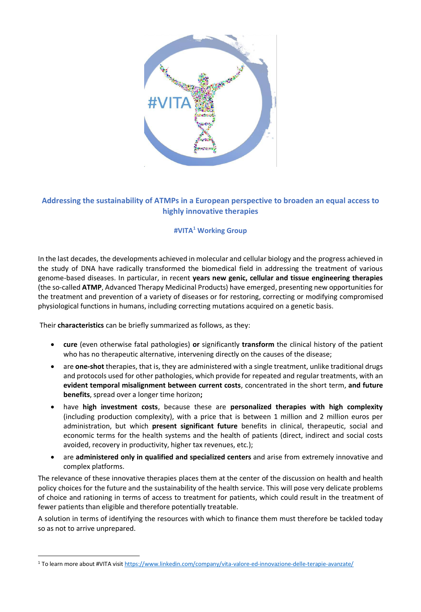

## **Addressing the sustainability of ATMPs in a European perspective to broaden an equal access to highly innovative therapies**

## **#VITA<sup>1</sup> Working Group**

In the last decades, the developments achieved in molecular and cellular biology and the progress achieved in the study of DNA have radically transformed the biomedical field in addressing the treatment of various genome-based diseases. In particular, in recent **years new genic, cellular and tissue engineering therapies**  (the so-called **ATMP**, Advanced Therapy Medicinal Products) have emerged, presenting new opportunities for the treatment and prevention of a variety of diseases or for restoring, correcting or modifying compromised physiological functions in humans, including correcting mutations acquired on a genetic basis.

Their **characteristics** can be briefly summarized as follows, as they:

 $\overline{a}$ 

- **cure** (even otherwise fatal pathologies) **or** significantly **transform** the clinical history of the patient who has no therapeutic alternative, intervening directly on the causes of the disease;
- are **one-shot** therapies, that is, they are administered with a single treatment, unlike traditional drugs and protocols used for other pathologies, which provide for repeated and regular treatments, with an **evident temporal misalignment between current costs**, concentrated in the short term, **and future benefits**, spread over a longer time horizon**;**
- have **high investment costs**, because these are **personalized therapies with high complexity**  (including production complexity), with a price that is between 1 million and 2 million euros per administration, but which **present significant future** benefits in clinical, therapeutic, social and economic terms for the health systems and the health of patients (direct, indirect and social costs avoided, recovery in productivity, higher tax revenues, etc.);
- are **administered only in qualified and specialized centers** and arise from extremely innovative and complex platforms.

The relevance of these innovative therapies places them at the center of the discussion on health and health policy choices for the future and the sustainability of the health service. This will pose very delicate problems of choice and rationing in terms of access to treatment for patients, which could result in the treatment of fewer patients than eligible and therefore potentially treatable.

A solution in terms of identifying the resources with which to finance them must therefore be tackled today so as not to arrive unprepared.

<sup>1</sup> To learn more about #VITA visi[t https://www.linkedin.com/company/vita-valore-ed-innovazione-delle-terapie-avanzate/](https://www.linkedin.com/company/vita-valore-ed-innovazione-delle-terapie-avanzate/)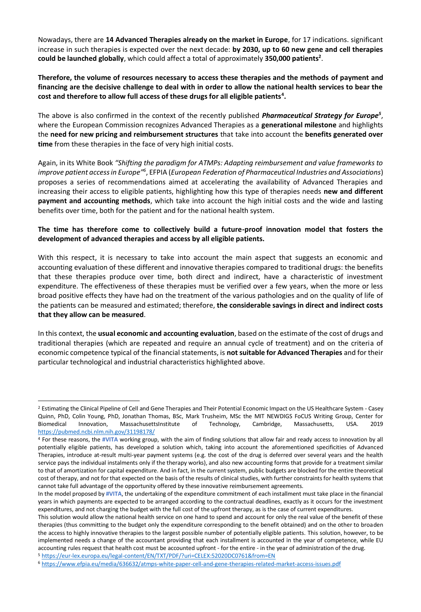Nowadays, there are **14 Advanced Therapies already on the market in Europe**, for 17 indications. significant increase in such therapies is expected over the next decade: **by 2030, up to 60 new gene and cell therapies could be launched globally**, which could affect a total of approximately **350,000 patients<sup>2</sup>** .

**Therefore, the volume of resources necessary to access these therapies and the methods of payment and financing are the decisive challenge to deal with in order to allow the national health services to bear the cost and therefore to allow full access of these drugs for all eligible patients<sup>4</sup> .**

The above is also confirmed in the context of the recently published *Pharmaceutical Strategy for Europe<sup>5</sup>* , where the European Commission recognizes Advanced Therapies as a **generational milestone** and highlights the **need for new pricing and reimbursement structures** that take into account the **benefits generated over time** from these therapies in the face of very high initial costs.

Again, in its White Book *"Shifting the paradigm for ATMPs: Adapting reimbursement and value frameworks to*  improve patient access in Europe<sup>,,6</sup> ,EFPIA (European Federation of Pharmaceutical Industries and Associations) proposes a series of recommendations aimed at accelerating the availability of Advanced Therapies and increasing their access to eligible patients, highlighting how this type of therapies needs **new and different payment and accounting methods**, which take into account the high initial costs and the wide and lasting benefits over time, both for the patient and for the national health system.

## **The time has therefore come to collectively build a future-proof innovation model that fosters the development of advanced therapies and access by all eligible patients.**

With this respect, it is necessary to take into account the main aspect that suggests an economic and accounting evaluation of these different and innovative therapies compared to traditional drugs: the benefits that these therapies produce over time, both direct and indirect, have a characteristic of investment expenditure. The effectiveness of these therapies must be verified over a few years, when the more or less broad positive effects they have had on the treatment of the various pathologies and on the quality of life of the patients can be measured and estimated; therefore, **the considerable savings in direct and indirect costs that they allow can be measured**.

In this context, the **usual economic and accounting evaluation**, based on the estimate of the cost of drugs and traditional therapies (which are repeated and require an annual cycle of treatment) and on the criteria of economic competence typical of the financial statements, is **not suitable for Advanced Therapies** and for their particular technological and industrial characteristics highlighted above.

<sup>5</sup> <https://eur-lex.europa.eu/legal-content/EN/TXT/PDF/?uri=CELEX:52020DC0761&from=EN>

 $\overline{a}$ 

<sup>&</sup>lt;sup>2</sup> Estimating the Clinical Pipeline of Cell and Gene Therapies and Their Potential Economic Impact on the US Healthcare System - Casey Quinn, PhD, Colin Young, PhD, Jonathan Thomas, BSc, Mark Trusheim, MSc the MIT NEWDIGS FoCUS Writing Group, Center for Biomedical Innovation, MassachusettsInstitute of Technology, Cambridge, Massachusetts, USA. 2019 <https://pubmed.ncbi.nlm.nih.gov/31198178/>

<sup>4</sup> For these reasons, the **#VITA** working group, with the aim of finding solutions that allow fair and ready access to innovation by all potentially eligible patients, has developed a solution which, taking into account the aforementioned specificities of Advanced Therapies, introduce at-result multi-year payment systems (e.g. the cost of the drug is deferred over several years and the health service pays the individual instalments only if the therapy works), and also new accounting forms that provide for a treatment similar to that of amortization for capital expenditure. And in fact, in the current system, public budgets are blocked for the entire theoretical cost of therapy, and not for that expected on the basis of the results of clinical studies, with further constraints for health systems that cannot take full advantage of the opportunity offered by these innovative reimbursement agreements.

In the model proposed by **#VITA**, the undertaking of the expenditure commitment of each installment must take place in the financial years in which payments are expected to be arranged according to the contractual deadlines, exactly as it occurs for the investment expenditures, and not charging the budget with the full cost of the upfront therapy, as is the case of current expenditures.

This solution would allow the national health service on one hand to spend and account for only the real value of the benefit of these therapies (thus committing to the budget only the expenditure corresponding to the benefit obtained) and on the other to broaden the access to highly innovative therapies to the largest possible number of potentially eligible patients. This solution, however, to be implemented needs a change of the accountant providing that each installment is accounted in the year of competence, while EU accounting rules request that health cost must be accounted upfront - for the entire - in the year of administration of the drug.

<sup>6</sup> <https://www.efpia.eu/media/636632/atmps-white-paper-cell-and-gene-therapies-related-market-access-issues.pdf>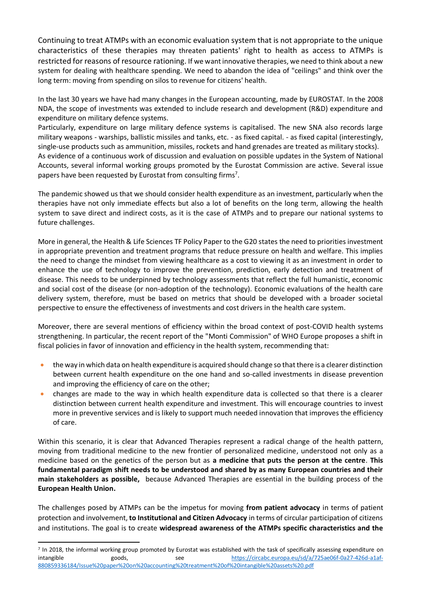Continuing to treat ATMPs with an economic evaluation system that is not appropriate to the unique characteristics of these therapies may threaten patients' right to health as access to ATMPs is restricted for reasons of resource rationing. If we want innovative therapies, we need to think about a new system for dealing with healthcare spending. We need to abandon the idea of "ceilings" and think over the long term: moving from spending on silos to revenue for citizens' health.

In the last 30 years we have had many changes in the European accounting, made by EUROSTAT. In the 2008 NDA, the scope of investments was extended to include research and development (R&D) expenditure and expenditure on military defence systems.

Particularly, expenditure on large military defence systems is capitalised. The new SNA also records large military weapons - warships, ballistic missiles and tanks, etc. - as fixed capital. - as fixed capital (interestingly, single-use products such as ammunition, missiles, rockets and hand grenades are treated as military stocks). As evidence of a continuous work of discussion and evaluation on possible updates in the System of National Accounts, several informal working groups promoted by the Eurostat Commission are active. Several issue papers have been requested by Eurostat from consulting firms<sup>7</sup>.

The pandemic showed us that we should consider health expenditure as an investment, particularly when the therapies have not only immediate effects but also a lot of benefits on the long term, allowing the health system to save direct and indirect costs, as it is the case of ATMPs and to prepare our national systems to future challenges.

More in general, the Health & Life Sciences TF Policy Paper to the G20 states the need to priorities investment in appropriate prevention and treatment programs that reduce pressure on health and welfare. This implies the need to change the mindset from viewing healthcare as a cost to viewing it as an investment in order to enhance the use of technology to improve the prevention, prediction, early detection and treatment of disease. This needs to be underpinned by technology assessments that reflect the full humanistic, economic and social cost of the disease (or non-adoption of the technology). Economic evaluations of the health care delivery system, therefore, must be based on metrics that should be developed with a broader societal perspective to ensure the effectiveness of investments and cost drivers in the health care system.

Moreover, there are several mentions of efficiency within the broad context of post-COVID health systems strengthening. In particular, the recent report of the "Monti Commission" of WHO Europe proposes a shift in fiscal policies in favor of innovation and efficiency in the health system, recommending that:

- the way in which data on health expenditure is acquired should change so that there is a clearer distinction between current health expenditure on the one hand and so-called investments in disease prevention and improving the efficiency of care on the other;
- changes are made to the way in which health expenditure data is collected so that there is a clearer distinction between current health expenditure and investment. This will encourage countries to invest more in preventive services and is likely to support much needed innovation that improves the efficiency of care.

Within this scenario, it is clear that Advanced Therapies represent a radical change of the health pattern, moving from traditional medicine to the new frontier of personalized medicine, understood not only as a medicine based on the genetics of the person but as **a medicine that puts the person at the centre**. **This fundamental paradigm shift needs to be understood and shared by as many European countries and their main stakeholders as possible,** because Advanced Therapies are essential in the building process of the **European Health Union.**

The challenges posed by ATMPs can be the impetus for moving **from patient advocacy** in terms of patient protection and involvement, **to Institutional and Citizen Advocacy** in terms of circular participation of citizens and institutions. The goal is to create **widespread awareness of the ATMPs specific characteristics and the** 

 $\overline{a}$ 

<sup>7</sup> In 2018, the informal working group promoted by Eurostat was established with the task of specifically assessing expenditure on intangible see [https://circabc.europa.eu/sd/a/725ae06f-0a27-426d-a1af-](https://circabc.europa.eu/sd/a/725ae06f-0a27-426d-a1af-880859336184/Issue%20paper%20on%20accounting%20treatment%20of%20intangible%20assets%20.pdf)[880859336184/Issue%20paper%20on%20accounting%20treatment%20of%20intangible%20assets%20.pdf](https://circabc.europa.eu/sd/a/725ae06f-0a27-426d-a1af-880859336184/Issue%20paper%20on%20accounting%20treatment%20of%20intangible%20assets%20.pdf)